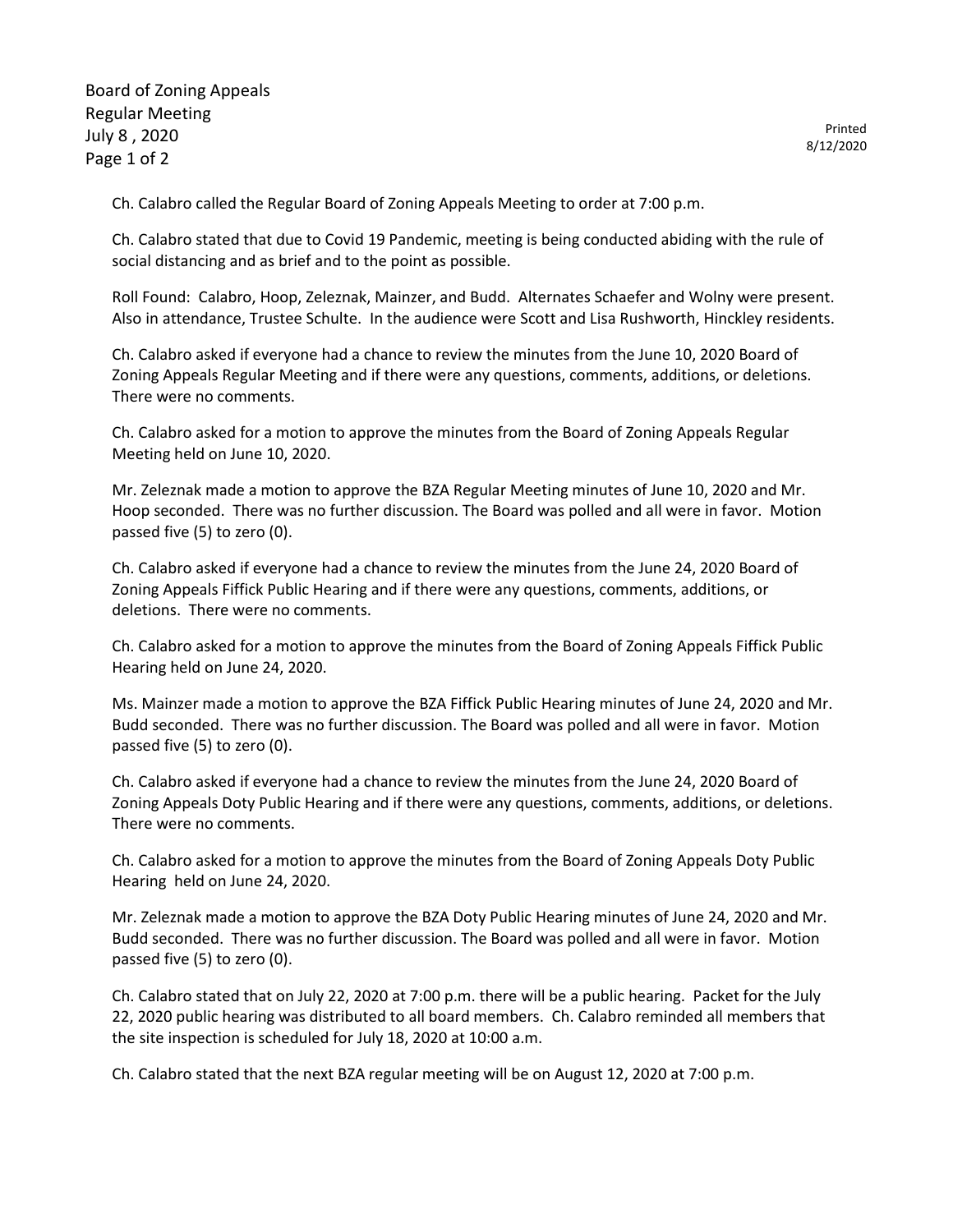Board of Zoning Appeals Regular Meeting July 8 , 2020 Page 1 of 2

Ch. Calabro called the Regular Board of Zoning Appeals Meeting to order at 7:00 p.m.

Ch. Calabro stated that due to Covid 19 Pandemic, meeting is being conducted abiding with the rule of social distancing and as brief and to the point as possible.

Roll Found: Calabro, Hoop, Zeleznak, Mainzer, and Budd. Alternates Schaefer and Wolny were present. Also in attendance, Trustee Schulte. In the audience were Scott and Lisa Rushworth, Hinckley residents.

Ch. Calabro asked if everyone had a chance to review the minutes from the June 10, 2020 Board of Zoning Appeals Regular Meeting and if there were any questions, comments, additions, or deletions. There were no comments.

Ch. Calabro asked for a motion to approve the minutes from the Board of Zoning Appeals Regular Meeting held on June 10, 2020.

Mr. Zeleznak made a motion to approve the BZA Regular Meeting minutes of June 10, 2020 and Mr. Hoop seconded. There was no further discussion. The Board was polled and all were in favor. Motion passed five (5) to zero (0).

Ch. Calabro asked if everyone had a chance to review the minutes from the June 24, 2020 Board of Zoning Appeals Fiffick Public Hearing and if there were any questions, comments, additions, or deletions. There were no comments.

Ch. Calabro asked for a motion to approve the minutes from the Board of Zoning Appeals Fiffick Public Hearing held on June 24, 2020.

Ms. Mainzer made a motion to approve the BZA Fiffick Public Hearing minutes of June 24, 2020 and Mr. Budd seconded. There was no further discussion. The Board was polled and all were in favor. Motion passed five (5) to zero (0).

Ch. Calabro asked if everyone had a chance to review the minutes from the June 24, 2020 Board of Zoning Appeals Doty Public Hearing and if there were any questions, comments, additions, or deletions. There were no comments.

Ch. Calabro asked for a motion to approve the minutes from the Board of Zoning Appeals Doty Public Hearing held on June 24, 2020.

Mr. Zeleznak made a motion to approve the BZA Doty Public Hearing minutes of June 24, 2020 and Mr. Budd seconded. There was no further discussion. The Board was polled and all were in favor. Motion passed five (5) to zero (0).

Ch. Calabro stated that on July 22, 2020 at 7:00 p.m. there will be a public hearing. Packet for the July 22, 2020 public hearing was distributed to all board members. Ch. Calabro reminded all members that the site inspection is scheduled for July 18, 2020 at 10:00 a.m.

Ch. Calabro stated that the next BZA regular meeting will be on August 12, 2020 at 7:00 p.m.